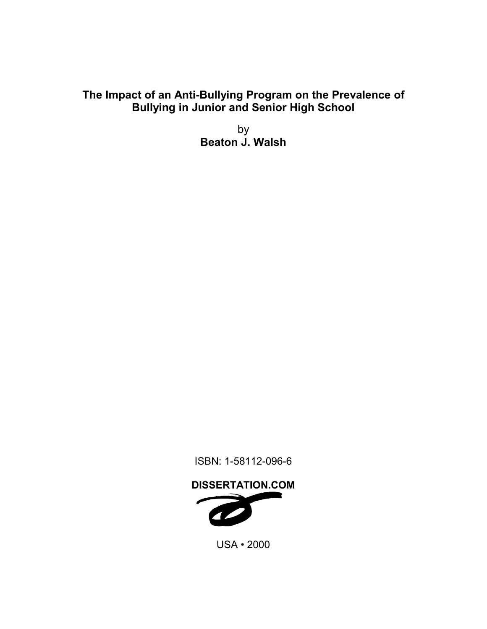# **The Impact of an Anti-Bullying Program on the Prevalence of Bullying in Junior and Senior High School**

by **Beaton J. Walsh** 

ISBN: 1-58112-096-6

**DISSERTATION.COM** 

USA • 2000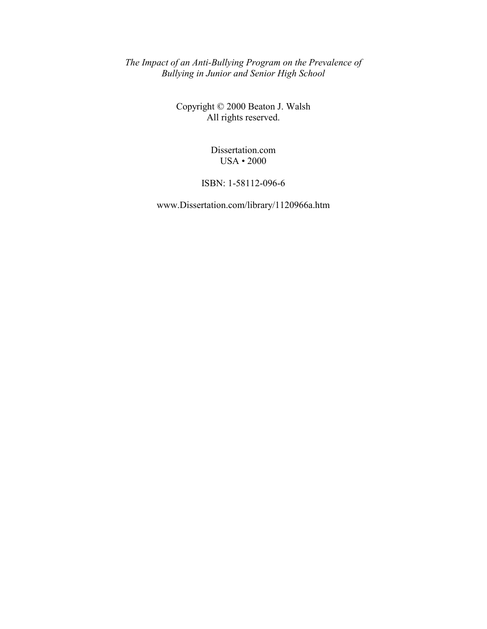*The Impact of an Anti-Bullying Program on the Prevalence of Bullying in Junior and Senior High School* 

> Copyright © 2000 Beaton J. Walsh All rights reserved.

> > Dissertation.com USA • 2000

ISBN: 1-58112-096-6

www.Dissertation.com/library/1120966a.htm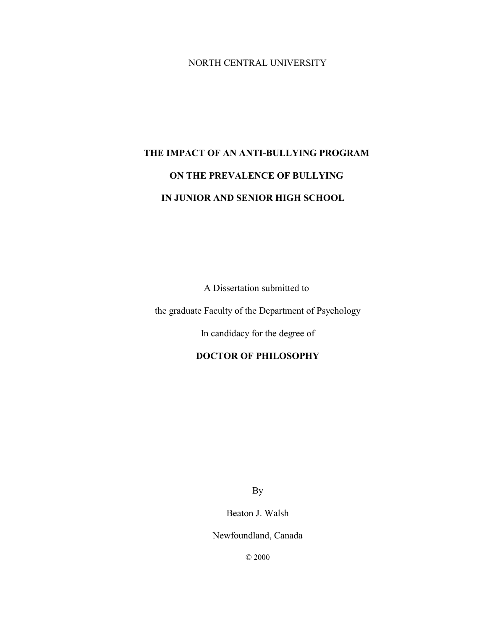## NORTH CENTRAL UNIVERSITY

# **THE IMPACT OF AN ANTI-BULLYING PROGRAM ON THE PREVALENCE OF BULLYING IN JUNIOR AND SENIOR HIGH SCHOOL**

A Dissertation submitted to

the graduate Faculty of the Department of Psychology

In candidacy for the degree of

# **DOCTOR OF PHILOSOPHY**

By

Beaton J. Walsh

Newfoundland, Canada

© 2000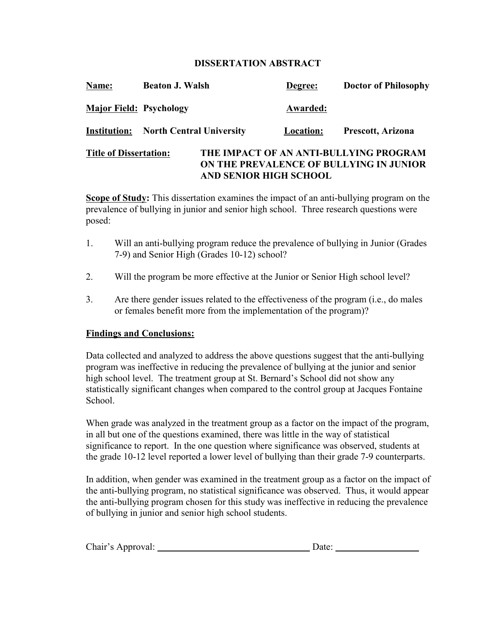## **DISSERTATION ABSTRACT**

| Name:                          | <b>Beaton J. Walsh</b>                       |                               | Degree:   | <b>Doctor of Philosophy</b>                                                       |
|--------------------------------|----------------------------------------------|-------------------------------|-----------|-----------------------------------------------------------------------------------|
| <b>Major Field: Psychology</b> |                                              |                               | Awarded:  |                                                                                   |
|                                | <b>Institution:</b> North Central University |                               | Location: | Prescott, Arizona                                                                 |
| <b>Title of Dissertation:</b>  |                                              | <b>AND SENIOR HIGH SCHOOL</b> |           | THE IMPACT OF AN ANTI-BULLYING PROGRAM<br>ON THE PREVALENCE OF BULLYING IN JUNIOR |

**Scope of Study:** This dissertation examines the impact of an anti-bullying program on the prevalence of bullying in junior and senior high school. Three research questions were posed:

- 1. Will an anti-bullying program reduce the prevalence of bullying in Junior (Grades 7-9) and Senior High (Grades 10-12) school?
- 2. Will the program be more effective at the Junior or Senior High school level?
- 3. Are there gender issues related to the effectiveness of the program (i.e., do males or females benefit more from the implementation of the program)?

## **Findings and Conclusions:**

Data collected and analyzed to address the above questions suggest that the anti-bullying program was ineffective in reducing the prevalence of bullying at the junior and senior high school level. The treatment group at St. Bernard's School did not show any statistically significant changes when compared to the control group at Jacques Fontaine School.

When grade was analyzed in the treatment group as a factor on the impact of the program, in all but one of the questions examined, there was little in the way of statistical significance to report. In the one question where significance was observed, students at the grade 10-12 level reported a lower level of bullying than their grade 7-9 counterparts.

In addition, when gender was examined in the treatment group as a factor on the impact of the anti-bullying program, no statistical significance was observed. Thus, it would appear the anti-bullying program chosen for this study was ineffective in reducing the prevalence of bullying in junior and senior high school students.

| Chair's Approval: | Date: |  |
|-------------------|-------|--|
|                   |       |  |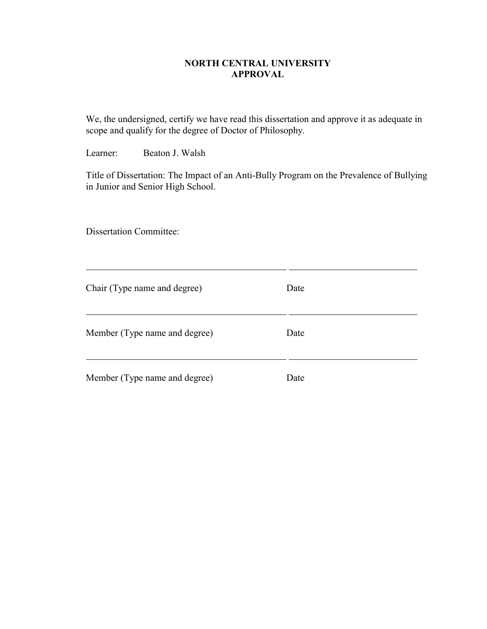## **NORTH CENTRAL UNIVERSITY APPROVAL**

We, the undersigned, certify we have read this dissertation and approve it as adequate in scope and qualify for the degree of Doctor of Philosophy.

Learner: Beaton J. Walsh

Title of Dissertation: The Impact of an Anti-Bully Program on the Prevalence of Bullying in Junior and Senior High School.

Dissertation Committee:

 $\overline{a}$ 

| Chair (Type name and degree)  | Date |
|-------------------------------|------|
| Member (Type name and degree) | Date |
| Member (Type name and degree) | Date |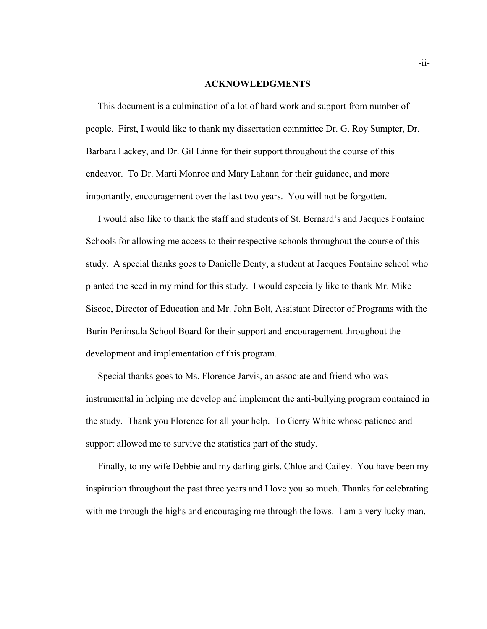#### **ACKNOWLEDGMENTS**

 This document is a culmination of a lot of hard work and support from number of people. First, I would like to thank my dissertation committee Dr. G. Roy Sumpter, Dr. Barbara Lackey, and Dr. Gil Linne for their support throughout the course of this endeavor. To Dr. Marti Monroe and Mary Lahann for their guidance, and more importantly, encouragement over the last two years. You will not be forgotten.

I would also like to thank the staff and students of St. Bernard's and Jacques Fontaine Schools for allowing me access to their respective schools throughout the course of this study. A special thanks goes to Danielle Denty, a student at Jacques Fontaine school who planted the seed in my mind for this study. I would especially like to thank Mr. Mike Siscoe, Director of Education and Mr. John Bolt, Assistant Director of Programs with the Burin Peninsula School Board for their support and encouragement throughout the development and implementation of this program.

 Special thanks goes to Ms. Florence Jarvis, an associate and friend who was instrumental in helping me develop and implement the anti-bullying program contained in the study. Thank you Florence for all your help. To Gerry White whose patience and support allowed me to survive the statistics part of the study.

 Finally, to my wife Debbie and my darling girls, Chloe and Cailey. You have been my inspiration throughout the past three years and I love you so much. Thanks for celebrating with me through the highs and encouraging me through the lows. I am a very lucky man.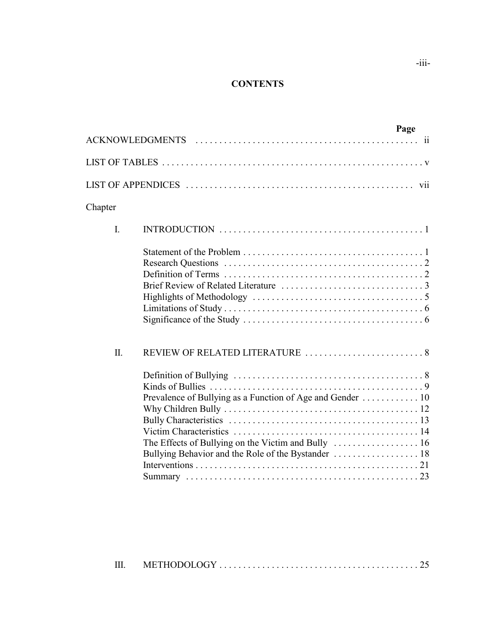# **CONTENTS**

|                |                                                                                                                                                        | Page |
|----------------|--------------------------------------------------------------------------------------------------------------------------------------------------------|------|
|                |                                                                                                                                                        |      |
|                |                                                                                                                                                        |      |
|                |                                                                                                                                                        |      |
| Chapter        |                                                                                                                                                        |      |
| $\mathbf{I}$ . |                                                                                                                                                        |      |
|                |                                                                                                                                                        |      |
| Π.             | Prevalence of Bullying as a Function of Age and Gender  10<br>The Effects of Bullying on the Victim and Bully $\dots \dots \dots \dots \dots \dots 16$ |      |

| $\mathop{\mathrm{III}}\nolimits$ |  |  |
|----------------------------------|--|--|
|----------------------------------|--|--|

-iii-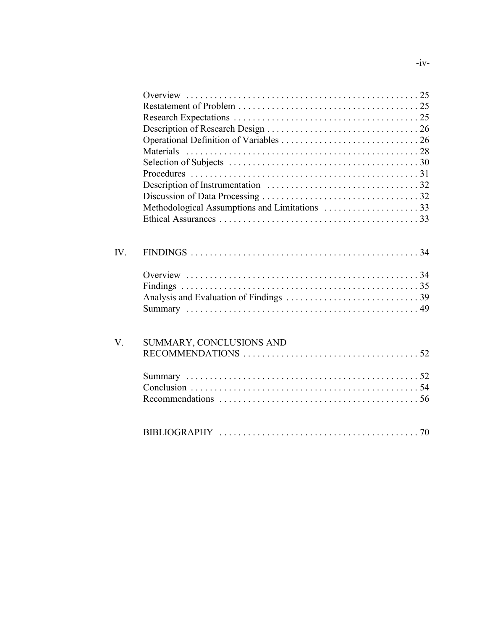| IV.                 |                          |  |
|---------------------|--------------------------|--|
|                     |                          |  |
|                     |                          |  |
|                     |                          |  |
|                     |                          |  |
| $\rm V_{\rm \cdot}$ | SUMMARY, CONCLUSIONS AND |  |
|                     |                          |  |
|                     |                          |  |
|                     |                          |  |
|                     |                          |  |
|                     |                          |  |
|                     |                          |  |

 $-iv-$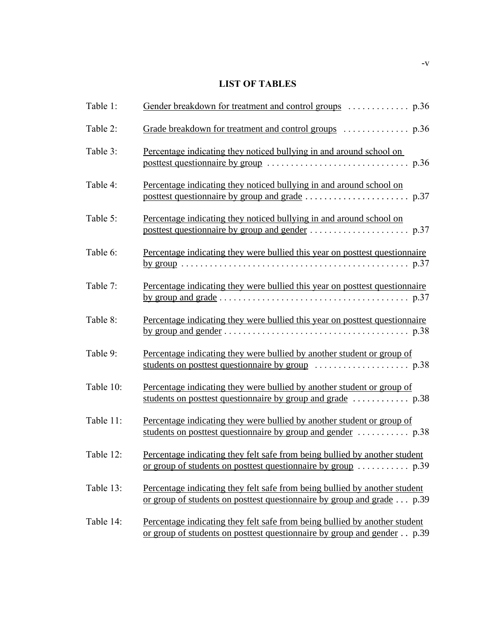# **LIST OF TABLES**

| Table 1:  |                                                                                                                                                                |
|-----------|----------------------------------------------------------------------------------------------------------------------------------------------------------------|
| Table 2:  |                                                                                                                                                                |
| Table 3:  | Percentage indicating they noticed bullying in and around school on<br>p.36                                                                                    |
| Table 4:  | Percentage indicating they noticed bullying in and around school on                                                                                            |
| Table 5:  | Percentage indicating they noticed bullying in and around school on                                                                                            |
| Table 6:  | Percentage indicating they were bullied this year on posttest questionnaire                                                                                    |
| Table 7:  | Percentage indicating they were bullied this year on posttest questionnaire                                                                                    |
| Table 8:  | Percentage indicating they were bullied this year on posttest questionnaire                                                                                    |
| Table 9:  | Percentage indicating they were bullied by another student or group of                                                                                         |
| Table 10: | Percentage indicating they were bullied by another student or group of                                                                                         |
| Table 11: | Percentage indicating they were bullied by another student or group of                                                                                         |
| Table 12: | Percentage indicating they felt safe from being bullied by another student<br>or group of students on posttest questionnaire by group $\dots \dots \dots$ p.39 |
| Table 13: | Percentage indicating they felt safe from being bullied by another student<br>or group of students on posttest questionnaire by group and grade $\dots$ p.39   |
| Table 14: | Percentage indicating they felt safe from being bullied by another student<br>or group of students on posttest questionnaire by group and gender p.39          |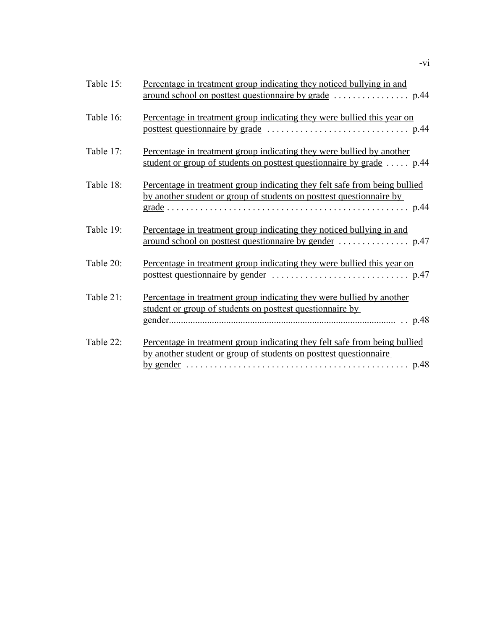| Table 15: | Percentage in treatment group indicating they noticed bullying in and                                                                              |
|-----------|----------------------------------------------------------------------------------------------------------------------------------------------------|
| Table 16: | Percentage in treatment group indicating they were bullied this year on                                                                            |
| Table 17: | Percentage in treatment group indicating they were bullied by another<br>student or group of students on posttest questionnaire by grade  p.44     |
| Table 18: | Percentage in treatment group indicating they felt safe from being bullied<br>by another student or group of students on posttest questionnaire by |
| Table 19: | Percentage in treatment group indicating they noticed bullying in and                                                                              |
| Table 20: | Percentage in treatment group indicating they were bullied this year on                                                                            |
| Table 21: | Percentage in treatment group indicating they were bullied by another<br>student or group of students on posttest questionnaire by                 |
| Table 22: | Percentage in treatment group indicating they felt safe from being bullied<br>by another student or group of students on posttest questionnaire    |

-vi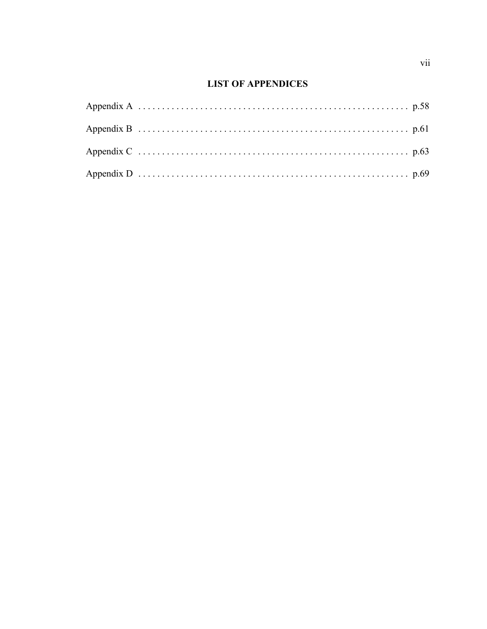# **LIST OF APPENDICES**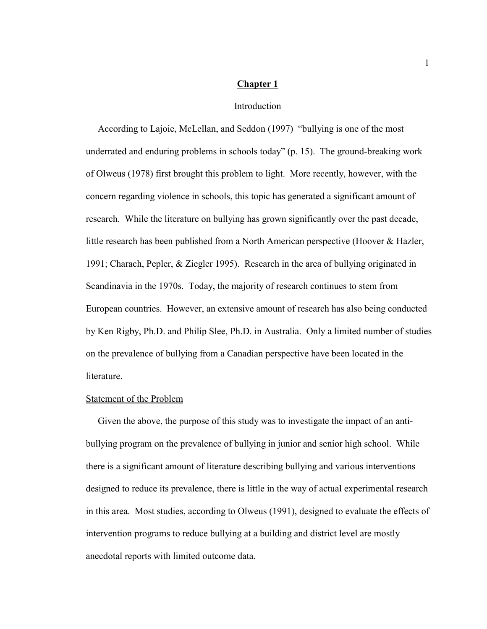#### **Chapter 1**

#### **Introduction**

According to Lajoie, McLellan, and Seddon (1997) "bullying is one of the most underrated and enduring problems in schools today"  $(p. 15)$ . The ground-breaking work of Olweus (1978) first brought this problem to light. More recently, however, with the concern regarding violence in schools, this topic has generated a significant amount of research. While the literature on bullying has grown significantly over the past decade, little research has been published from a North American perspective (Hoover & Hazler, 1991; Charach, Pepler, & Ziegler 1995). Research in the area of bullying originated in Scandinavia in the 1970s. Today, the majority of research continues to stem from European countries. However, an extensive amount of research has also being conducted by Ken Rigby, Ph.D. and Philip Slee, Ph.D. in Australia. Only a limited number of studies on the prevalence of bullying from a Canadian perspective have been located in the literature.

#### Statement of the Problem

 Given the above, the purpose of this study was to investigate the impact of an antibullying program on the prevalence of bullying in junior and senior high school. While there is a significant amount of literature describing bullying and various interventions designed to reduce its prevalence, there is little in the way of actual experimental research in this area. Most studies, according to Olweus (1991), designed to evaluate the effects of intervention programs to reduce bullying at a building and district level are mostly anecdotal reports with limited outcome data.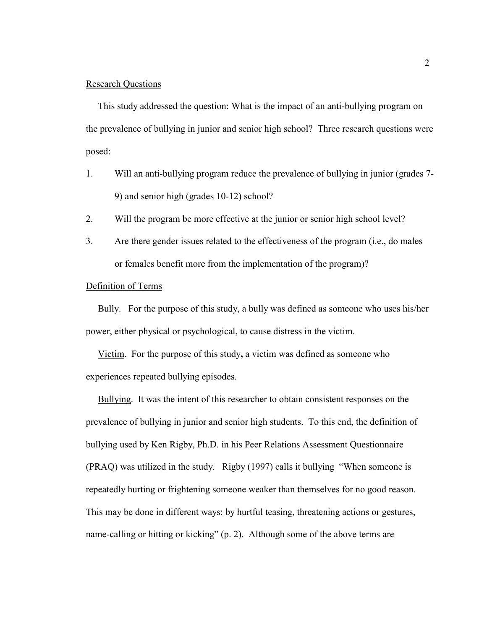#### Research Questions

 This study addressed the question: What is the impact of an anti-bullying program on the prevalence of bullying in junior and senior high school? Three research questions were posed:

- 1. Will an anti-bullying program reduce the prevalence of bullying in junior (grades 7- 9) and senior high (grades 10-12) school?
- 2. Will the program be more effective at the junior or senior high school level?
- 3. Are there gender issues related to the effectiveness of the program (i.e., do males or females benefit more from the implementation of the program)?

#### Definition of Terms

 Bully. For the purpose of this study, a bully was defined as someone who uses his/her power, either physical or psychological, to cause distress in the victim.

 Victim. For the purpose of this study**,** a victim was defined as someone who experiences repeated bullying episodes.

 Bullying.It was the intent of this researcher to obtain consistent responses on the prevalence of bullying in junior and senior high students. To this end, the definition of bullying used by Ken Rigby, Ph.D. in his Peer Relations Assessment Questionnaire  $(PRAQ)$  was utilized in the study. Rigby  $(1997)$  calls it bullying "When someone is repeatedly hurting or frightening someone weaker than themselves for no good reason. This may be done in different ways: by hurtful teasing, threatening actions or gestures, name-calling or hitting or kicking" (p. 2). Although some of the above terms are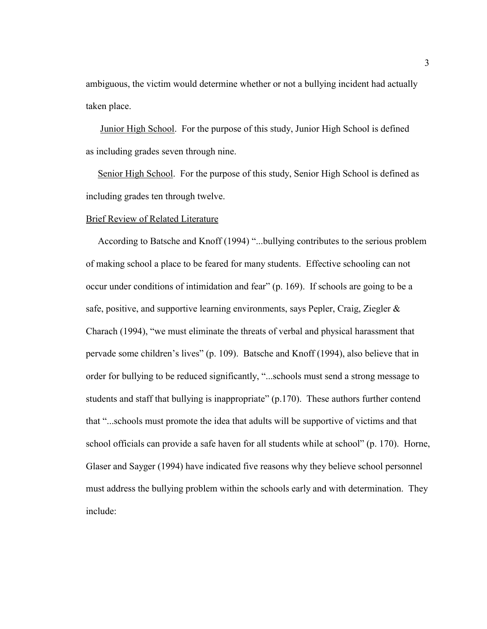ambiguous, the victim would determine whether or not a bullying incident had actually taken place.

 Junior High School. For the purpose of this study, Junior High School is defined as including grades seven through nine.

 Senior High School. For the purpose of this study, Senior High School is defined as including grades ten through twelve.

#### Brief Review of Related Literature

According to Batsche and Knoff (1994) "...bullying contributes to the serious problem of making school a place to be feared for many students. Effective schooling can not occur under conditions of intimidation and fear" (p. 169). If schools are going to be a safe, positive, and supportive learning environments, says Pepler, Craig, Ziegler  $\&$ Charach (1994), "we must eliminate the threats of verbal and physical harassment that pervade some children's lives" (p. 109). Batsche and Knoff (1994), also believe that in order for bullying to be reduced significantly, "...schools must send a strong message to students and staff that bullying is inappropriate"  $(p.170)$ . These authors further contend that "...schools must promote the idea that adults will be supportive of victims and that school officials can provide a safe haven for all students while at school" (p. 170). Horne, Glaser and Sayger (1994) have indicated five reasons why they believe school personnel must address the bullying problem within the schools early and with determination. They include: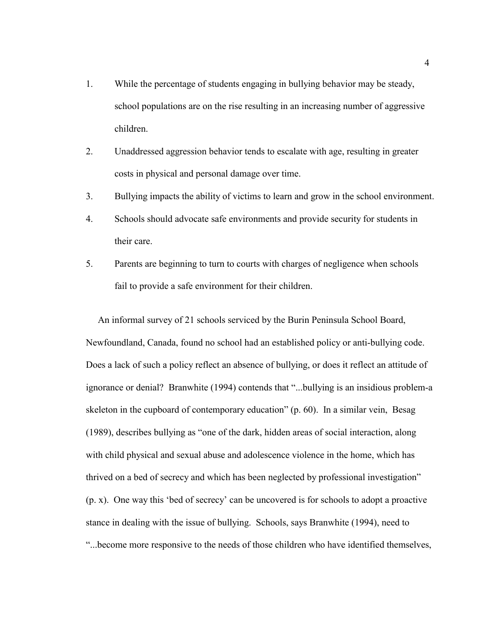- 1. While the percentage of students engaging in bullying behavior may be steady, school populations are on the rise resulting in an increasing number of aggressive children.
- 2. Unaddressed aggression behavior tends to escalate with age, resulting in greater costs in physical and personal damage over time.
- 3. Bullying impacts the ability of victims to learn and grow in the school environment.
- 4. Schools should advocate safe environments and provide security for students in their care.
- 5. Parents are beginning to turn to courts with charges of negligence when schools fail to provide a safe environment for their children.

 An informal survey of 21 schools serviced by the Burin Peninsula School Board, Newfoundland, Canada, found no school had an established policy or anti-bullying code. Does a lack of such a policy reflect an absence of bullying, or does it reflect an attitude of ignorance or denial? Branwhite (1994) contends that "...bullying is an insidious problem-a skeleton in the cupboard of contemporary education" (p. 60). In a similar vein, Besag (1989), describes bullying as "one of the dark, hidden areas of social interaction, along with child physical and sexual abuse and adolescence violence in the home, which has thrived on a bed of secrecy and which has been neglected by professional investigation"  $(p, x)$ . One way this 'bed of secrecy' can be uncovered is for schools to adopt a proactive stance in dealing with the issue of bullying. Schools, says Branwhite (1994), need to ì...become more responsive to the needs of those children who have identified themselves,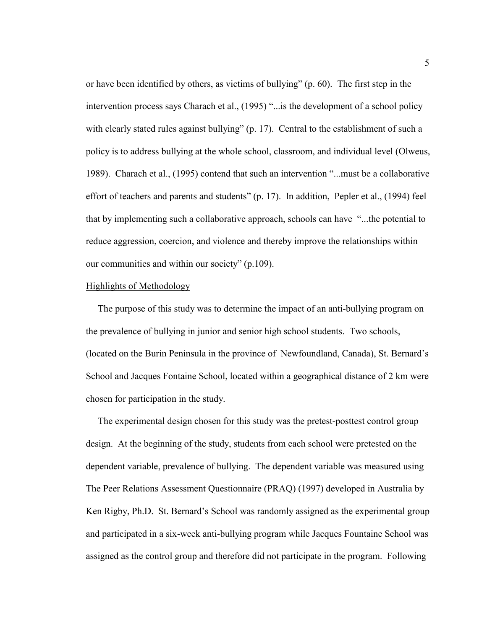or have been identified by others, as victims of bullying"  $(p. 60)$ . The first step in the intervention process says Charach et al.,  $(1995)$  "... is the development of a school policy with clearly stated rules against bullying"  $(p. 17)$ . Central to the establishment of such a policy is to address bullying at the whole school, classroom, and individual level (Olweus, 1989). Charach et al.,  $(1995)$  contend that such an intervention "...must be a collaborative effort of teachers and parents and students" (p. 17). In addition, Pepler et al., (1994) feel that by implementing such a collaborative approach, schools can have "...the potential to reduce aggression, coercion, and violence and thereby improve the relationships within our communities and within our society"  $(p.109)$ .

#### Highlights of Methodology

 The purpose of this study was to determine the impact of an anti-bullying program on the prevalence of bullying in junior and senior high school students. Two schools, (located on the Burin Peninsula in the province of Newfoundland, Canada), St. Bernard's School and Jacques Fontaine School, located within a geographical distance of 2 km were chosen for participation in the study.

 The experimental design chosen for this study was the pretest-posttest control group design. At the beginning of the study, students from each school were pretested on the dependent variable, prevalence of bullying. The dependent variable was measured using The Peer Relations Assessment Questionnaire (PRAQ) (1997) developed in Australia by Ken Rigby, Ph.D. St. Bernard's School was randomly assigned as the experimental group and participated in a six-week anti-bullying program while Jacques Fountaine School was assigned as the control group and therefore did not participate in the program. Following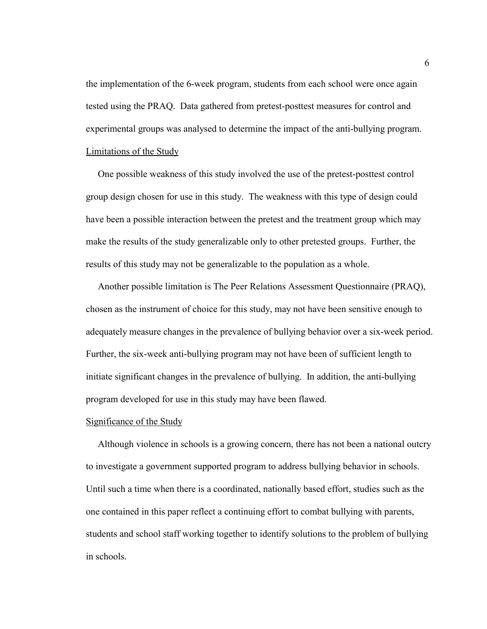the implementation of the 6-week program, students from each school were once again tested using the PRAQ. Data gathered from pretest-posttest measures for control and experimental groups was analysed to determine the impact of the anti-bullying program. Limitations of the Study

One possible weakness of this study involved the use of the pretest-posttest control group design chosen for use in this study. The weakness with this type of design could have been a possible interaction between the pretest and the treatment group which may make the results of the study generalizable only to other pretested groups. Further, the results of this study may not be generalizable to the population as a whole.

 Another possible limitation is The Peer Relations Assessment Questionnaire (PRAQ), chosen as the instrument of choice for this study, may not have been sensitive enough to adequately measure changes in the prevalence of bullying behavior over a six-week period. Further, the six-week anti-bullying program may not have been of sufficient length to initiate significant changes in the prevalence of bullying. In addition, the anti-bullying program developed for use in this study may have been flawed.

#### Significance of the Study

 Although violence in schools is a growing concern, there has not been a national outcry to investigate a government supported program to address bullying behavior in schools. Until such a time when there is a coordinated, nationally based effort, studies such as the one contained in this paper reflect a continuing effort to combat bullying with parents, students and school staff working together to identify solutions to the problem of bullying in schools.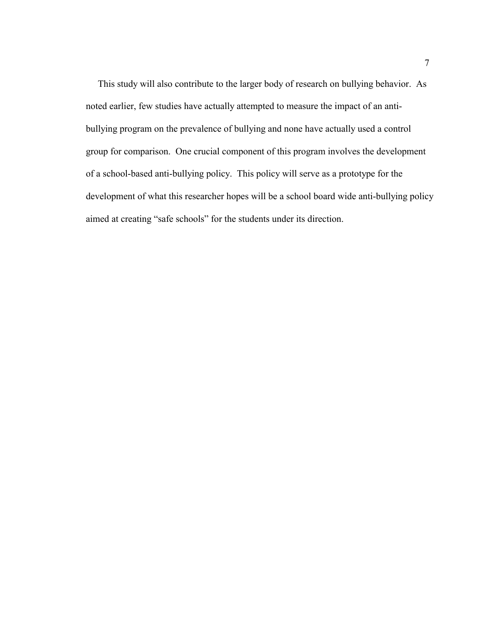This study will also contribute to the larger body of research on bullying behavior. As noted earlier, few studies have actually attempted to measure the impact of an antibullying program on the prevalence of bullying and none have actually used a control group for comparison. One crucial component of this program involves the development of a school-based anti-bullying policy. This policy will serve as a prototype for the development of what this researcher hopes will be a school board wide anti-bullying policy aimed at creating "safe schools" for the students under its direction.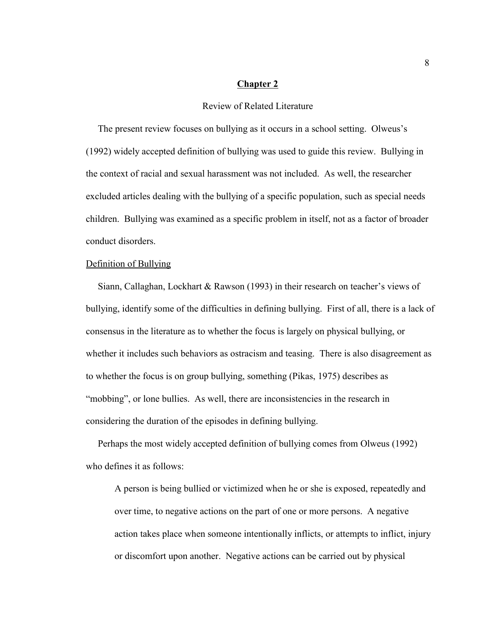#### **Chapter 2**

## Review of Related Literature

The present review focuses on bullying as it occurs in a school setting. Olweus's (1992) widely accepted definition of bullying was used to guide this review. Bullying in the context of racial and sexual harassment was not included. As well, the researcher excluded articles dealing with the bullying of a specific population, such as special needs children. Bullying was examined as a specific problem in itself, not as a factor of broader conduct disorders.

#### Definition of Bullying

Siann, Callaghan, Lockhart & Rawson (1993) in their research on teacher's views of bullying, identify some of the difficulties in defining bullying. First of all, there is a lack of consensus in the literature as to whether the focus is largely on physical bullying, or whether it includes such behaviors as ostracism and teasing. There is also disagreement as to whether the focus is on group bullying, something (Pikas, 1975) describes as "mobbing", or lone bullies. As well, there are inconsistencies in the research in considering the duration of the episodes in defining bullying.

 Perhaps the most widely accepted definition of bullying comes from Olweus (1992) who defines it as follows:

A person is being bullied or victimized when he or she is exposed, repeatedly and over time, to negative actions on the part of one or more persons. A negative action takes place when someone intentionally inflicts, or attempts to inflict, injury or discomfort upon another. Negative actions can be carried out by physical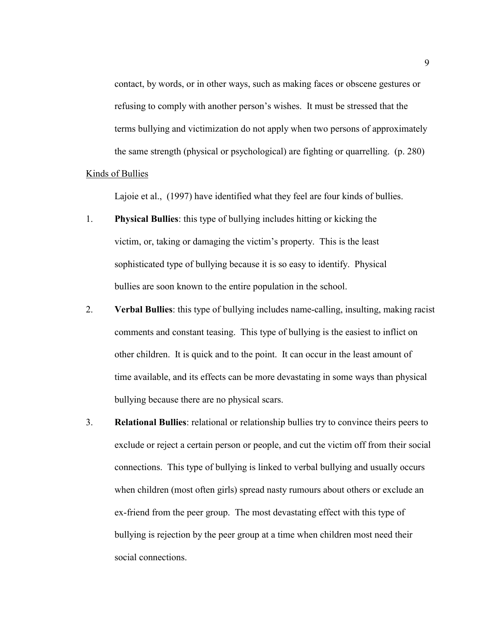contact, by words, or in other ways, such as making faces or obscene gestures or refusing to comply with another person's wishes. It must be stressed that the terms bullying and victimization do not apply when two persons of approximately the same strength (physical or psychological) are fighting or quarrelling. (p. 280)

#### Kinds of Bullies

Lajoie et al., (1997) have identified what they feel are four kinds of bullies.

- 1. **Physical Bullies**: this type of bullying includes hitting or kicking the victim, or, taking or damaging the victim's property. This is the least sophisticated type of bullying because it is so easy to identify. Physical bullies are soon known to the entire population in the school.
- 2. **Verbal Bullies**: this type of bullying includes name-calling, insulting, making racist comments and constant teasing. This type of bullying is the easiest to inflict on other children. It is quick and to the point. It can occur in the least amount of time available, and its effects can be more devastating in some ways than physical bullying because there are no physical scars.
- 3. **Relational Bullies**: relational or relationship bullies try to convince theirs peers to exclude or reject a certain person or people, and cut the victim off from their social connections. This type of bullying is linked to verbal bullying and usually occurs when children (most often girls) spread nasty rumours about others or exclude an ex-friend from the peer group. The most devastating effect with this type of bullying is rejection by the peer group at a time when children most need their social connections.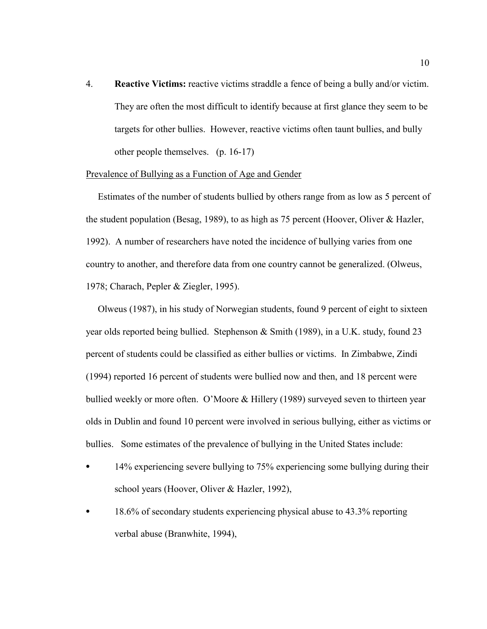4. **Reactive Victims:** reactive victims straddle a fence of being a bully and/or victim. They are often the most difficult to identify because at first glance they seem to be targets for other bullies. However, reactive victims often taunt bullies, and bully other people themselves. (p. 16-17)

#### Prevalence of Bullying as a Function of Age and Gender

 Estimates of the number of students bullied by others range from as low as 5 percent of the student population (Besag, 1989), to as high as 75 percent (Hoover, Oliver & Hazler, 1992). A number of researchers have noted the incidence of bullying varies from one country to another, and therefore data from one country cannot be generalized. (Olweus, 1978; Charach, Pepler & Ziegler, 1995).

 Olweus (1987), in his study of Norwegian students, found 9 percent of eight to sixteen year olds reported being bullied. Stephenson & Smith (1989), in a U.K. study, found 23 percent of students could be classified as either bullies or victims. In Zimbabwe, Zindi (1994) reported 16 percent of students were bullied now and then, and 18 percent were bullied weekly or more often. O'Moore  $&$  Hillery (1989) surveyed seven to thirteen year olds in Dublin and found 10 percent were involved in serious bullying, either as victims or bullies. Some estimates of the prevalence of bullying in the United States include:

- 14% experiencing severe bullying to 75% experiencing some bullying during their school years (Hoover, Oliver & Hazler, 1992),
- 18.6% of secondary students experiencing physical abuse to 43.3% reporting verbal abuse (Branwhite, 1994),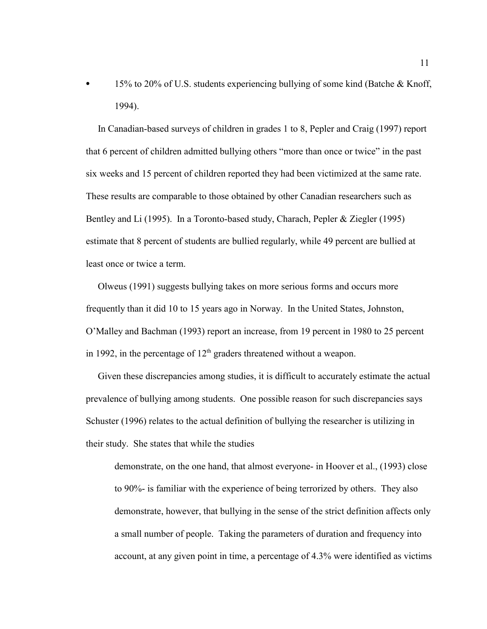15% to 20% of U.S. students experiencing bullying of some kind (Batche & Knoff, 1994).

 In Canadian-based surveys of children in grades 1 to 8, Pepler and Craig (1997) report that 6 percent of children admitted bullying others "more than once or twice" in the past six weeks and 15 percent of children reported they had been victimized at the same rate. These results are comparable to those obtained by other Canadian researchers such as Bentley and Li (1995). In a Toronto-based study, Charach, Pepler & Ziegler (1995) estimate that 8 percent of students are bullied regularly, while 49 percent are bullied at least once or twice a term.

 Olweus (1991) suggests bullying takes on more serious forms and occurs more frequently than it did 10 to 15 years ago in Norway. In the United States, Johnston, OíMalley and Bachman (1993) report an increase, from 19 percent in 1980 to 25 percent in 1992, in the percentage of  $12<sup>th</sup>$  graders threatened without a weapon.

 Given these discrepancies among studies, it is difficult to accurately estimate the actual prevalence of bullying among students. One possible reason for such discrepancies says Schuster (1996) relates to the actual definition of bullying the researcher is utilizing in their study. She states that while the studies

demonstrate, on the one hand, that almost everyone- in Hoover et al., (1993) close to 90%- is familiar with the experience of being terrorized by others. They also demonstrate, however, that bullying in the sense of the strict definition affects only a small number of people. Taking the parameters of duration and frequency into account, at any given point in time, a percentage of 4.3% were identified as victims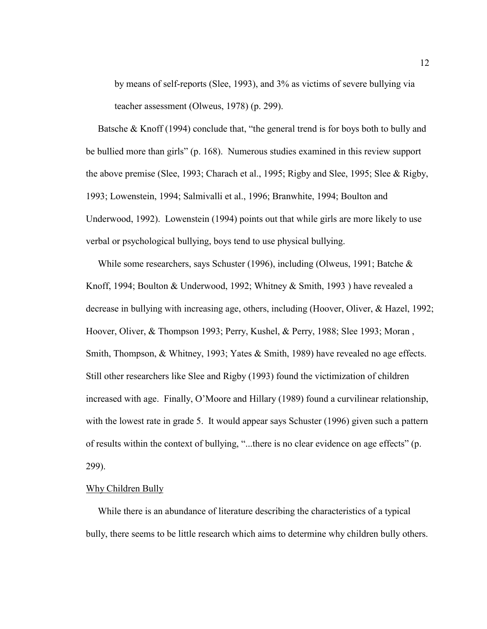by means of self-reports (Slee, 1993), and 3% as victims of severe bullying via teacher assessment (Olweus, 1978) (p. 299).

Batsche  $&$  Knoff (1994) conclude that, "the general trend is for boys both to bully and be bullied more than girls" (p. 168). Numerous studies examined in this review support the above premise (Slee, 1993; Charach et al., 1995; Rigby and Slee, 1995; Slee & Rigby, 1993; Lowenstein, 1994; Salmivalli et al., 1996; Branwhite, 1994; Boulton and Underwood, 1992). Lowenstein (1994) points out that while girls are more likely to use verbal or psychological bullying, boys tend to use physical bullying.

While some researchers, says Schuster (1996), including (Olweus, 1991; Batche  $\&$ Knoff, 1994; Boulton & Underwood, 1992; Whitney & Smith, 1993 ) have revealed a decrease in bullying with increasing age, others, including (Hoover, Oliver, & Hazel, 1992; Hoover, Oliver, & Thompson 1993; Perry, Kushel, & Perry, 1988; Slee 1993; Moran , Smith, Thompson, & Whitney, 1993; Yates & Smith, 1989) have revealed no age effects. Still other researchers like Slee and Rigby (1993) found the victimization of children increased with age. Finally, O'Moore and Hillary (1989) found a curvilinear relationship, with the lowest rate in grade 5. It would appear says Schuster (1996) given such a pattern of results within the context of bullying, "...there is no clear evidence on age effects" (p. 299).

#### Why Children Bully

 While there is an abundance of literature describing the characteristics of a typical bully, there seems to be little research which aims to determine why children bully others.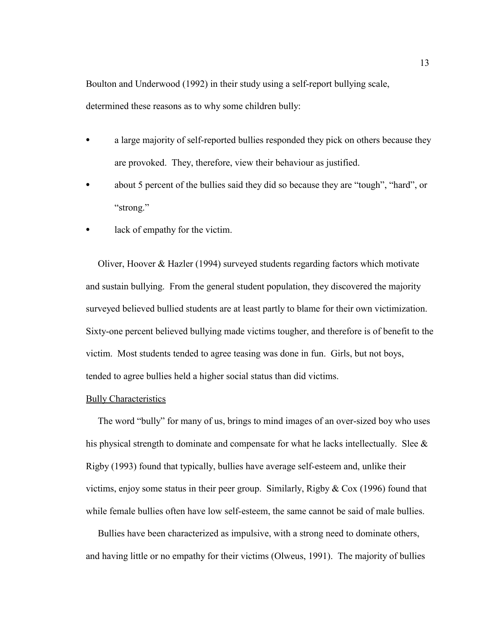Boulton and Underwood (1992) in their study using a self-report bullying scale, determined these reasons as to why some children bully:

- a large majority of self-reported bullies responded they pick on others because they are provoked. They, therefore, view their behaviour as justified.
- about 5 percent of the bullies said they did so because they are "tough", "hard", or "strong."
- lack of empathy for the victim.

 Oliver, Hoover & Hazler (1994) surveyed students regarding factors which motivate and sustain bullying. From the general student population, they discovered the majority surveyed believed bullied students are at least partly to blame for their own victimization. Sixty-one percent believed bullying made victims tougher, and therefore is of benefit to the victim. Most students tended to agree teasing was done in fun. Girls, but not boys, tended to agree bullies held a higher social status than did victims.

#### Bully Characteristics

The word "bully" for many of us, brings to mind images of an over-sized boy who uses his physical strength to dominate and compensate for what he lacks intellectually. Slee  $\&$ Rigby (1993) found that typically, bullies have average self-esteem and, unlike their victims, enjoy some status in their peer group. Similarly, Rigby  $& Cox$  (1996) found that while female bullies often have low self-esteem, the same cannot be said of male bullies.

 Bullies have been characterized as impulsive, with a strong need to dominate others, and having little or no empathy for their victims (Olweus, 1991). The majority of bullies